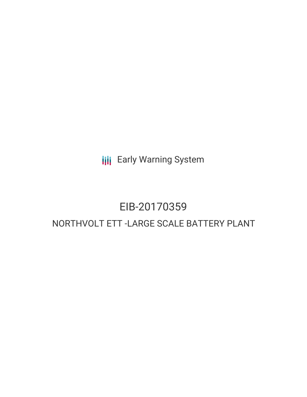**III** Early Warning System

# EIB-20170359 NORTHVOLT ETT -LARGE SCALE BATTERY PLANT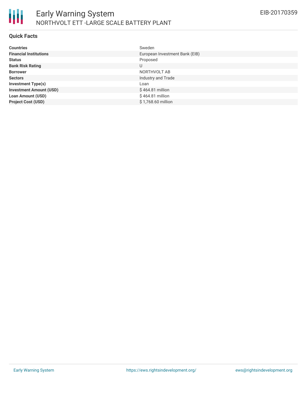

#### **Quick Facts**

| <b>Countries</b>               | Sweden                         |
|--------------------------------|--------------------------------|
| <b>Financial Institutions</b>  | European Investment Bank (EIB) |
| <b>Status</b>                  | Proposed                       |
| <b>Bank Risk Rating</b>        | U                              |
| <b>Borrower</b>                | NORTHVOLT AB                   |
| <b>Sectors</b>                 | Industry and Trade             |
| <b>Investment Type(s)</b>      | Loan                           |
| <b>Investment Amount (USD)</b> | $$464.81$ million              |
| <b>Loan Amount (USD)</b>       | \$464.81 million               |
| <b>Project Cost (USD)</b>      | \$1,768.60 million             |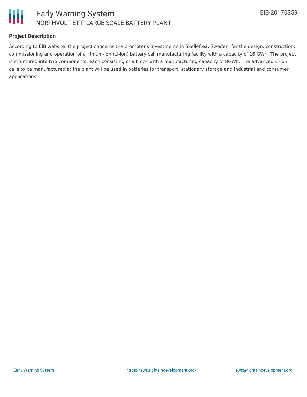

## **Project Description**

According to EIB website, the project concerns the promoter's investments in Skellefteå, Sweden, for the design, construction, commissioning and operation of a lithium-ion (Li-ion) battery cell manufacturing facility with a capacity of 16 GWh. The project is structured into two components, each consisting of a block with a manufacturing capacity of 8GWh. The advanced Li-ion cells to be manufactured at the plant will be used in batteries for transport, stationary storage and industrial and consumer applications.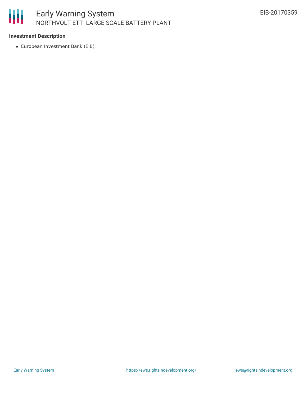## 朋 Early Warning System NORTHVOLT ETT -LARGE SCALE BATTERY PLANT

#### **Investment Description**

European Investment Bank (EIB)